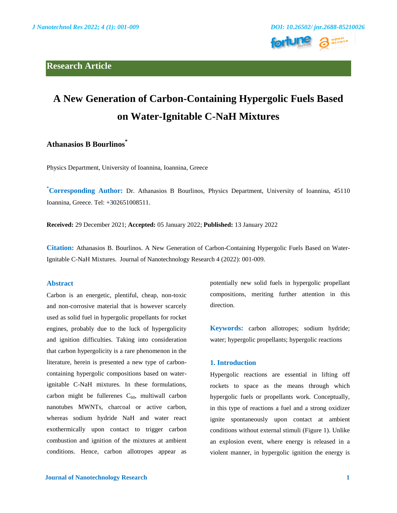



# **A New Generation of Carbon-Containing Hypergolic Fuels Based on Water-Ignitable C-NaH Mixtures**

## **Athanasios B Bourlinos\***

Physics Department, University of Ioannina, Ioannina, Greece

**\*Corresponding Author:** Dr. Athanasios B Bourlinos, Physics Department, University of Ioannina, 45110 Ioannina, Greece. Tel: +302651008511.

**Received:** 29 December 2021; **Accepted:** 05 January 2022; **Published:** 13 January 2022

**Citation:** Athanasios B. Bourlinos. A New Generation of Carbon-Containing Hypergolic Fuels Based on Water-Ignitable C-NaH Mixtures. Journal of Nanotechnology Research 4 (2022): 001-009.

#### **Abstract**

Carbon is an energetic, plentiful, cheap, non-toxic and non-corrosive material that is however scarcely used as solid fuel in hypergolic propellants for rocket engines, probably due to the luck of hypergolicity and ignition difficulties. Taking into consideration that carbon hypergolicity is a rare phenomenon in the literature, herein is presented a new type of carboncontaining hypergolic compositions based on waterignitable C-NaH mixtures. In these formulations, carbon might be fullerenes  $C_{60}$ , multiwall carbon nanotubes MWNTs, charcoal or active carbon, whereas sodium hydride NaH and water react exothermically upon contact to trigger carbon combustion and ignition of the mixtures at ambient conditions. Hence, carbon allotropes appear as

potentially new solid fuels in hypergolic propellant compositions, meriting further attention in this direction.

**Keywords:** carbon allotropes; sodium hydride; water; hypergolic propellants; hypergolic reactions

### **1. Introduction**

Hypergolic reactions are essential in lifting off rockets to space as the means through which hypergolic fuels or propellants work. Conceptually, in this type of reactions a fuel and a strong oxidizer ignite spontaneously upon contact at ambient conditions without external stimuli (Figure 1). Unlike an explosion event, where energy is released in a violent manner, in hypergolic ignition the energy is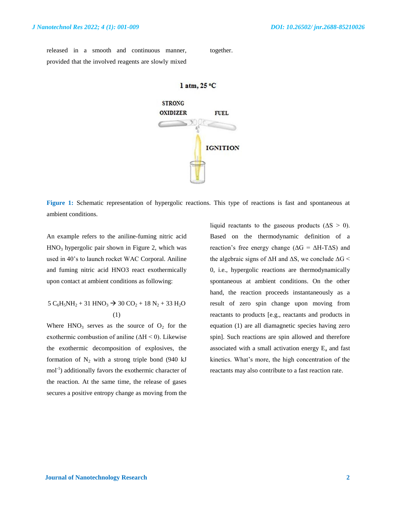released in a smooth and continuous manner, provided that the involved reagents are slowly mixed

> 1 atm, 25 °C **STRONG OXIDIZER FUEL IGNITION**

together.

**Figure 1:** Schematic representation of hypergolic reactions. This type of reactions is fast and spontaneous at ambient conditions.

An example refers to the aniline-fuming nitric acid  $HNO<sub>3</sub>$  hypergolic pair shown in Figure 2, which was used in 40's to launch rocket WAC Corporal. Aniline and fuming nitric acid HNO3 react exothermically upon contact at ambient conditions as following:

$$
5 C_6H_5NH_2 + 31 HNO_3 \rightarrow 30 CO_2 + 18 N_2 + 33 H_2O
$$
  
(1)

Where  $HNO<sub>3</sub>$  serves as the source of  $O<sub>2</sub>$  for the exothermic combustion of aniline  $(\Delta H \le 0)$ . Likewise the exothermic decomposition of explosives, the formation of  $N_2$  with a strong triple bond (940 kJ mol<sup>-1</sup>) additionally favors the exothermic character of the reaction. At the same time, the release of gases secures a positive entropy change as moving from the

liquid reactants to the gaseous products ( $\Delta S > 0$ ). Based on the thermodynamic definition of a reaction's free energy change ( $\Delta G = \Delta H - T \Delta S$ ) and the algebraic signs of  $\Delta H$  and  $\Delta S$ , we conclude  $\Delta G$  < 0, i.e., hypergolic reactions are thermodynamically spontaneous at ambient conditions. On the other hand, the reaction proceeds instantaneously as a result of zero spin change upon moving from reactants to products [e.g., reactants and products in equation (1) are all diamagnetic species having zero spin]. Such reactions are spin allowed and therefore associated with a small activation energy  $E_a$  and fast kinetics. What's more, the high concentration of the reactants may also contribute to a fast reaction rate.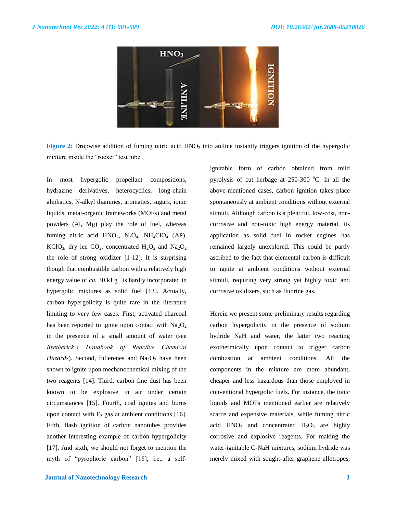

**Figure 2:** Dropwise addition of fuming nitric acid HNO<sub>3</sub> into aniline instantly triggers ignition of the hypergolic mixture inside the "rocket" test tube.

In most hypergolic propellant compositions, hydrazine derivatives, heterocyclics, long-chain aliphatics, N-alkyl diamines, aromatics, sugars, ionic liquids, metal-organic frameworks (MOFs) and metal powders (Al, Mg) play the role of fuel, whereas fuming nitric acid  $HNO<sub>3</sub>$ ,  $N<sub>2</sub>O<sub>4</sub>$ ,  $NH<sub>4</sub>ClO<sub>4</sub>$  (AP),  $KClO<sub>3</sub>$ , dry ice  $CO<sub>2</sub>$ , concentrated  $H<sub>2</sub>O<sub>2</sub>$  and  $Na<sub>2</sub>O<sub>2</sub>$ the role of strong oxidizer [1-12]. It is surprising though that combustible carbon with a relatively high energy value of *ca*. 30 kJ  $g^{-1}$  is hardly incorporated in hypergolic mixtures as solid fuel [13]. Actually, carbon hypergolicity is quite rare in the literature limiting to very few cases. First, activated charcoal has been reported to ignite upon contact with  $Na<sub>2</sub>O<sub>2</sub>$ in the presence of a small amount of water (see *Bretherick's Handbook of Reactive Chemical Hazards*). Second, fullerenes and  $Na<sub>2</sub>O<sub>2</sub>$  have been shown to ignite upon mechanochemical mixing of the two reagents [14]. Third, carbon fine dust has been known to be explosive in air under certain circumstances [15]. Fourth, coal ignites and burns upon contact with  $F_2$  gas at ambient conditions [16]. Fifth, flash ignition of carbon nanotubes provides another interesting example of carbon hypergolicity [17]. And sixth, we should not forget to mention the myth of "pyrophoric carbon" [18], i.e., a selfignitable form of carbon obtained from mild pyrolysis of cut herbage at  $250-300$  °C. In all the above-mentioned cases, carbon ignition takes place spontaneously at ambient conditions without external stimuli. Although carbon is a plentiful, low-cost, noncorrosive and non-toxic high energy material, its application as solid fuel in rocket engines has remained largely unexplored. This could be partly ascribed to the fact that elemental carbon is difficult to ignite at ambient conditions without external stimuli, requiring very strong yet highly toxic and corrosive oxidizers, such as fluorine gas.

Herein we present some preliminary results regarding carbon hypergolicity in the presence of sodium hydride NaH and water, the latter two reacting exothermically upon contact to trigger carbon combustion at ambient conditions. All the components in the mixture are more abundant, cheaper and less hazardous than those employed in conventional hypergolic fuels. For instance, the ionic liquids and MOFs mentioned earlier are relatively scarce and expensive materials, while fuming nitric acid  $HNO<sub>3</sub>$  and concentrated  $H<sub>2</sub>O<sub>2</sub>$  are highly corrosive and explosive reagents. For making the water-ignitable C-NaH mixtures, sodium hydride was merely mixed with sought-after graphene allotropes,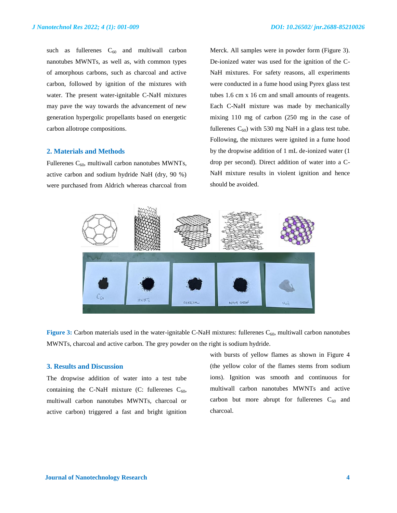such as fullerenes  $C_{60}$  and multiwall carbon nanotubes MWNTs, as well as, with common types of amorphous carbons, such as charcoal and active carbon, followed by ignition of the mixtures with water. The present water-ignitable C-NaH mixtures may pave the way towards the advancement of new generation hypergolic propellants based on energetic carbon allotrope compositions.

#### **2. Materials and Methods**

Fullerenes  $C_{60}$ , multiwall carbon nanotubes MWNTs, active carbon and sodium hydride NaH (dry, 90 %) were purchased from Aldrich whereas charcoal from Merck. All samples were in powder form (Figure 3). De-ionized water was used for the ignition of the C-NaH mixtures. For safety reasons, all experiments were conducted in a fume hood using Pyrex glass test tubes 1.6 cm x 16 cm and small amounts of reagents. Each C-NaH mixture was made by mechanically mixing 110 mg of carbon (250 mg in the case of fullerenes  $C_{60}$ ) with 530 mg NaH in a glass test tube. Following, the mixtures were ignited in a fume hood by the dropwise addition of 1 mL de-ionized water (1 drop per second). Direct addition of water into a C-NaH mixture results in violent ignition and hence should be avoided.



**Figure 3:** Carbon materials used in the water-ignitable C-NaH mixtures: fullerenes C<sub>60</sub>, multiwall carbon nanotubes MWNTs, charcoal and active carbon. The grey powder on the right is sodium hydride.

#### **3. Results and Discussion**

The dropwise addition of water into a test tube containing the C-NaH mixture (C: fullerenes  $C_{60}$ , multiwall carbon nanotubes MWNTs, charcoal or active carbon) triggered a fast and bright ignition

with bursts of yellow flames as shown in Figure 4 (the yellow color of the flames stems from sodium ions). Ignition was smooth and continuous for multiwall carbon nanotubes MWNTs and active carbon but more abrupt for fullerenes  $C_{60}$  and charcoal.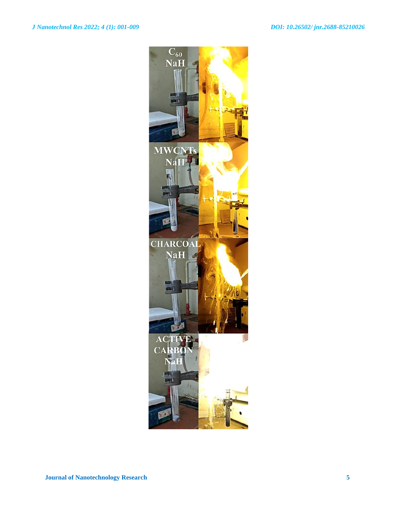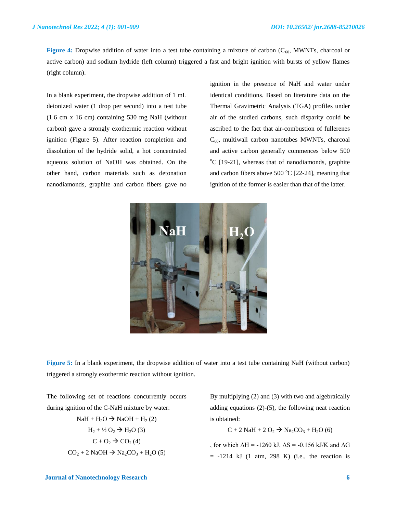**Figure 4:** Dropwise addition of water into a test tube containing a mixture of carbon (C<sub>60</sub>, MWNTs, charcoal or active carbon) and sodium hydride (left column) triggered a fast and bright ignition with bursts of yellow flames (right column).

In a blank experiment, the dropwise addition of 1 mL deionized water (1 drop per second) into a test tube (1.6 cm x 16 cm) containing 530 mg NaH (without carbon) gave a strongly exothermic reaction without ignition (Figure 5). After reaction completion and dissolution of the hydride solid, a hot concentrated aqueous solution of NaOH was obtained. On the other hand, carbon materials such as detonation nanodiamonds, graphite and carbon fibers gave no

ignition in the presence of NaH and water under identical conditions. Based on literature data on the Thermal Gravimetric Analysis (TGA) profiles under air of the studied carbons, such disparity could be ascribed to the fact that air-combustion of fullerenes  $C_{60}$ , multiwall carbon nanotubes MWNTs, charcoal and active carbon generally commences below 500  $\rm{^{\circ}C}$  [19-21], whereas that of nanodiamonds, graphite and carbon fibers above 500  $^{\circ}$ C [22-24], meaning that ignition of the former is easier than that of the latter.



**Figure 5:** In a blank experiment, the dropwise addition of water into a test tube containing NaH (without carbon) triggered a strongly exothermic reaction without ignition.

The following set of reactions concurrently occurs during ignition of the C-NaH mixture by water:

$$
NaH + H2O \rightarrow NaOH + H2 (2)
$$
  
\n
$$
H2 + \frac{1}{2}O2 \rightarrow H2O (3)
$$
  
\n
$$
C + O2 \rightarrow CO2 (4)
$$
  
\n
$$
CO2 + 2 NaOH \rightarrow Na2CO3 + H2O (5)
$$

By multiplying (2) and (3) with two and algebraically adding equations (2)-(5), the following neat reaction is obtained:

$$
C + 2 \text{ NaH} + 2 \text{ O}_2 \rightarrow \text{Na}_2\text{CO}_3 + \text{H}_2\text{O} \ (6)
$$

, for which  $\Delta H = -1260$  kJ,  $\Delta S = -0.156$  kJ/K and  $\Delta G$  $= -1214$  kJ (1 atm, 298 K) (i.e., the reaction is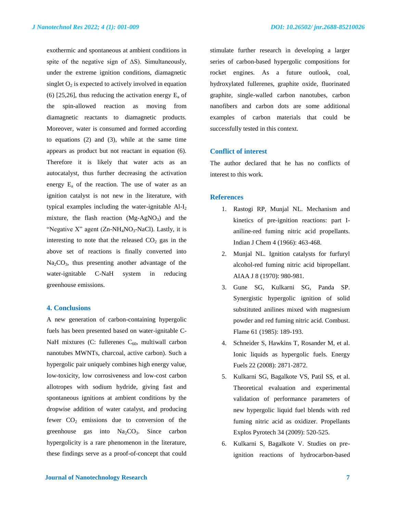exothermic and spontaneous at ambient conditions in spite of the negative sign of  $\Delta S$ ). Simultaneously, under the extreme ignition conditions, diamagnetic singlet  $O_2$  is expected to actively involved in equation (6) [25,26], thus reducing the activation energy  $E_a$  of the spin-allowed reaction as moving from diamagnetic reactants to diamagnetic products. Moreover, water is consumed and formed according to equations (2) and (3), while at the same time appears as product but not reactant in equation (6). Therefore it is likely that water acts as an autocatalyst, thus further decreasing the activation energy  $E_a$  of the reaction. The use of water as an ignition catalyst is not new in the literature, with typical examples including the water-ignitable  $AI-I_2$ mixture, the flash reaction  $(Mg-AgNO_3)$  and the "Negative X" agent  $(Zn-NH_4NO_3-NaCl)$ . Lastly, it is interesting to note that the released  $CO<sub>2</sub>$  gas in the above set of reactions is finally converted into  $Na<sub>2</sub>CO<sub>3</sub>$ , thus presenting another advantage of the water-ignitable C-NaH system in reducing greenhouse emissions.

#### **4. Conclusions**

A new generation of carbon-containing hypergolic fuels has been presented based on water-ignitable C-NaH mixtures (C: fullerenes  $C_{60}$ , multiwall carbon nanotubes MWNTs, charcoal, active carbon). Such a hypergolic pair uniquely combines high energy value, low-toxicity, low corrosiveness and low-cost carbon allotropes with sodium hydride, giving fast and spontaneous ignitions at ambient conditions by the dropwise addition of water catalyst, and producing fewer  $CO<sub>2</sub>$  emissions due to conversion of the greenhouse gas into  $Na<sub>2</sub>CO<sub>3</sub>$ . Since carbon hypergolicity is a rare phenomenon in the literature, these findings serve as a proof-of-concept that could stimulate further research in developing a larger series of carbon-based hypergolic compositions for rocket engines. As a future outlook, coal, hydroxylated fullerenes, graphite oxide, fluorinated graphite, single-walled carbon nanotubes, carbon nanofibers and carbon dots are some additional examples of carbon materials that could be successfully tested in this context.

#### **Conflict of interest**

The author declared that he has no conflicts of interest to this work.

#### **References**

- 1. Rastogi RP, Munjal NL. Mechanism and kinetics of pre-ignition reactions: part Ianiline-red fuming nitric acid propellants. Indian J Chem 4 (1966): 463-468.
- 2. Munjal NL. Ignition catalysts for furfuryl alcohol-red fuming nitric acid bipropellant. AIAA J 8 (1970): 980-981.
- 3. Gune SG, Kulkarni SG, Panda SP. Synergistic hypergolic ignition of solid substituted anilines mixed with magnesium powder and red fuming nitric acid. Combust. Flame 61 (1985): 189-193.
- 4. Schneider S, Hawkins T, Rosander M, et al. Ionic liquids as hypergolic fuels. Energy Fuels 22 (2008): 2871-2872.
- 5. Kulkarni SG, Bagalkote VS, Patil SS, et al. Theoretical evaluation and experimental validation of performance parameters of new hypergolic liquid fuel blends with red fuming nitric acid as oxidizer. Propellants Explos Pyrotech 34 (2009): 520-525.
- 6. Kulkarni S, Bagalkote V. Studies on preignition reactions of hydrocarbon-based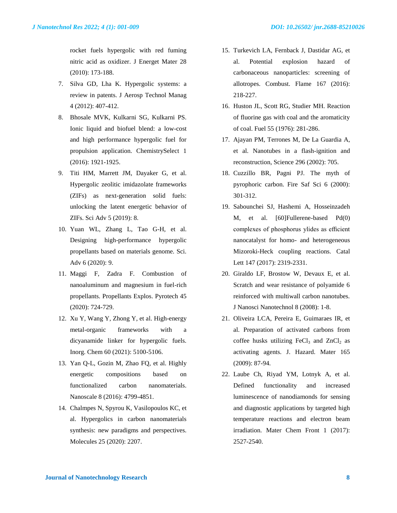rocket fuels hypergolic with red fuming nitric acid as oxidizer. J Energet Mater 28 (2010): 173-188.

- 7. Silva GD, Lha K. Hypergolic systems: a review in patents. J Aerosp Technol Manag 4 (2012): 407-412.
- 8. Bhosale MVK, Kulkarni SG, Kulkarni PS. Ionic liquid and biofuel blend: a low-cost and high performance hypergolic fuel for propulsion application. ChemistrySelect 1 (2016): 1921-1925.
- 9. Titi HM, Marrett JM, Dayaker G, et al. Hypergolic zeolitic imidazolate frameworks (ZIFs) as next-generation solid fuels: unlocking the latent energetic behavior of ZIFs. Sci Adv 5 (2019): 8.
- 10. Yuan WL, Zhang L, Tao G-H, et al. Designing high-performance hypergolic propellants based on materials genome. Sci. Adv 6 (2020): 9.
- 11. Maggi F, Zadra F. Combustion of nanoaluminum and magnesium in fuel-rich propellants. Propellants Explos. Pyrotech 45 (2020): 724-729.
- 12. Xu Y, Wang Y, Zhong Y, et al. High-energy metal-organic frameworks with a dicyanamide linker for hypergolic fuels. Inorg. Chem 60 (2021): 5100-5106.
- 13. Yan Q-L, Gozin M, Zhao FQ, et al. Highly energetic compositions based on functionalized carbon nanomaterials. Nanoscale 8 (2016): 4799-4851.
- 14. Chalmpes N, Spyrou K, Vasilopoulos KC, et al. Hypergolics in carbon nanomaterials synthesis: new paradigms and perspectives. Molecules 25 (2020): 2207.
- 15. Turkevich LA, Fernback J, Dastidar AG, et al. Potential explosion hazard of carbonaceous nanoparticles: screening of allotropes. Combust. Flame 167 (2016): 218-227.
- 16. Huston JL, Scott RG, Studier MH. Reaction of fluorine gas with coal and the aromaticity of coal. Fuel 55 (1976): 281-286.
- 17. Ajayan PM, Terrones M, De La Guardia A, et al. Nanotubes in a flash-ignition and reconstruction, Science 296 (2002): 705.
- 18. Cuzzillo BR, Pagni PJ. The myth of pyrophoric carbon. Fire Saf Sci 6 (2000): 301-312.
- 19. Sabounchei SJ, Hashemi A, Hosseinzadeh M, et al. [60]Fullerene-based Pd(0) complexes of phosphorus ylides as efficient nanocatalyst for homo- and heterogeneous Mizoroki-Heck coupling reactions. Catal Lett 147 (2017): 2319-2331.
- 20. Giraldo LF, Brostow W, Devaux E, et al. Scratch and wear resistance of polyamide 6 reinforced with multiwall carbon nanotubes. J Nanosci Nanotechnol 8 (2008): 1-8.
- 21. Oliveira LCA, Pereira E, Guimaraes IR, et al. Preparation of activated carbons from coffee husks utilizing  $FeCl<sub>3</sub>$  and  $ZnCl<sub>2</sub>$  as activating agents. J. Hazard. Mater 165 (2009): 87-94.
- 22. Laube Ch, Riyad YM, Lotnyk A, et al. Defined functionality and increased luminescence of nanodiamonds for sensing and diagnostic applications by targeted high temperature reactions and electron beam irradiation. Mater Chem Front 1 (2017): 2527-2540.